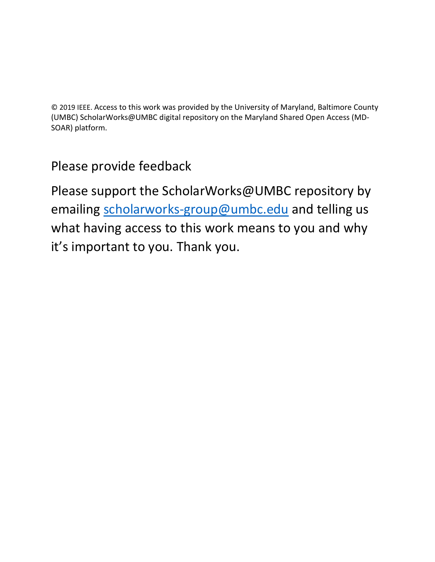© 2019 IEEE. Access to this work was provided by the University of Maryland, Baltimore County (UMBC) ScholarWorks@UMBC digital repository on the Maryland Shared Open Access (MD-SOAR) platform.

# Please provide feedback

Please support the ScholarWorks@UMBC repository by emailing [scholarworks-group@umbc.edu](mailto:scholarworks-group@umbc.edu) and telling us what having access to this work means to you and why it's important to you. Thank you.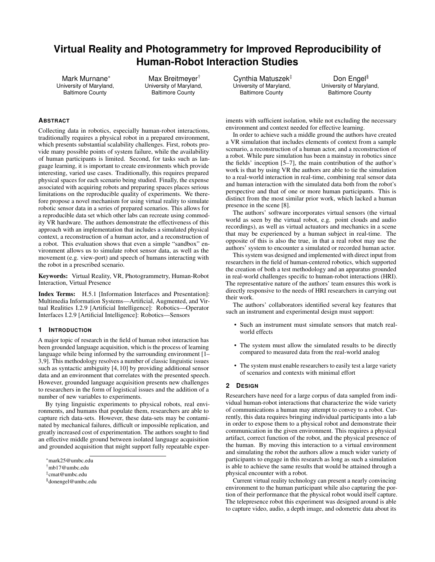# **Virtual Reality and Photogrammetry for Improved Reproducibility of Human-Robot Interaction Studies**

Mark Murnane\* University of Maryland, Baltimore County

Max Breitmeyer<sup>†</sup> University of Maryland, Baltimore County

Cynthia Matuszek‡ University of Maryland, Baltimore County

Don Engel<sup>§</sup> University of Maryland, Baltimore County

# **ABSTRACT**

Collecting data in robotics, especially human-robot interactions, traditionally requires a physical robot in a prepared environment, which presents substantial scalability challenges. First, robots provide many possible points of system failure, while the availability of human participants is limited. Second, for tasks such as language learning, it is important to create environments which provide interesting, varied use cases. Traditionally, this requires prepared physical spaces for each scenario being studied. Finally, the expense associated with acquiring robots and preparing spaces places serious limitations on the reproducible quality of experiments. We therefore propose a novel mechanism for using virtual reality to simulate robotic sensor data in a series of prepared scenarios. This allows for a reproducible data set which other labs can recreate using commodity VR hardware. The authors demonstrate the effectiveness of this approach with an implementation that includes a simulated physical context, a reconstruction of a human actor, and a reconstruction of a robot. This evaluation shows that even a simple "sandbox" environment allows us to simulate robot sensor data, as well as the movement (e.g. view-port) and speech of humans interacting with the robot in a prescribed scenario.

Keywords: Virtual Reality, VR, Photogrammetry, Human-Robot Interaction, Virtual Presence

Index Terms: H.5.1 [Information Interfaces and Presentation]: Multimedia Information Systems—Artificial, Augmented, and Virtual Realities I.2.9 [Artificial Intelligence]: Robotics—Operator Interfaces I.2.9 [Artificial Intelligence]: Robotics—Sensors

#### **1 INTRODUCTION**

A major topic of research in the field of human robot interaction has been grounded language acquisition, which is the process of learning language while being informed by the surrounding environment [1– 3,9]. This methodology resolves a number of classic linguistic issues such as syntactic ambiguity [4, 10] by providing additional sensor data and an environment that correlates with the presented speech. However, grounded language acquisition presents new challenges to researchers in the form of logistical issues and the addition of a number of new variables to experiments.

By tying linguistic experiments to physical robots, real environments, and humans that populate them, researchers are able to capture rich data-sets. However, these data-sets may be contaminated by mechanical failures, difficult or impossible replication, and greatly increased cost of experimentation. The authors sought to find an effective middle ground between isolated language acquisition and grounded acquisition that might support fully repeatable experiments with sufficient isolation, while not excluding the necessary environment and context needed for effective learning.

In order to achieve such a middle ground the authors have created a VR simulation that includes elements of context from a sample scenario, a reconstruction of a human actor, and a reconstruction of a robot. While pure simulation has been a mainstay in robotics since the fields' inception [5–7], the main contribution of the author's work is that by using VR the authors are able to tie the simulation to a real-world interaction in real-time, combining real sensor data and human interaction with the simulated data both from the robot's perspective and that of one or more human participants. This is distinct from the most similar prior work, which lacked a human presence in the scene [8].

The authors' software incorporates virtual sensors (the virtual world as seen by the virtual robot, e.g. point clouds and audio recordings), as well as virtual actuators and mechanics in a scene that may be experienced by a human subject in real-time. The opposite of this is also the true, in that a real robot may use the authors' system to encounter a simulated or recorded human actor.

This system was designed and implemented with direct input from researchers in the field of human-centered robotics, which supported the creation of both a test methodology and an apparatus grounded in real-world challenges specific to human-robot interactions (HRI). The representative nature of the authors' team ensures this work is directly responsive to the needs of HRI researchers in carrying out their work.

The authors' collaborators identified several key features that such an instrument and experimental design must support:

- Such an instrument must simulate sensors that match realworld effects
- The system must allow the simulated results to be directly compared to measured data from the real-world analog
- The system must enable researchers to easily test a large variety of scenarios and contexts with minimal effort

# **2 DESIGN**

Researchers have need for a large corpus of data sampled from individual human-robot interactions that characterize the wide variety of communications a human may attempt to convey to a robot. Currently, this data requires bringing individual participants into a lab in order to expose them to a physical robot and demonstrate their communication in the given environment. This requires a physical artifact, correct function of the robot, and the physical presence of the human. By moving this interaction to a virtual environment and simulating the robot the authors allow a much wider variety of participants to engage in this research as long as such a simulation is able to achieve the same results that would be attained through a physical encounter with a robot.

Current virtual reality technology can present a nearly convincing environment to the human participant while also capturing the portion of their performance that the physical robot would itself capture. The telepresence robot this experiment was designed around is able to capture video, audio, a depth image, and odometric data about its

<sup>\*</sup>mark25@umbc.edu

<sup>†</sup>mb17@umbc.edu

<sup>‡</sup> cmat@umbc.edu

<sup>§</sup>donengel@umbc.edu